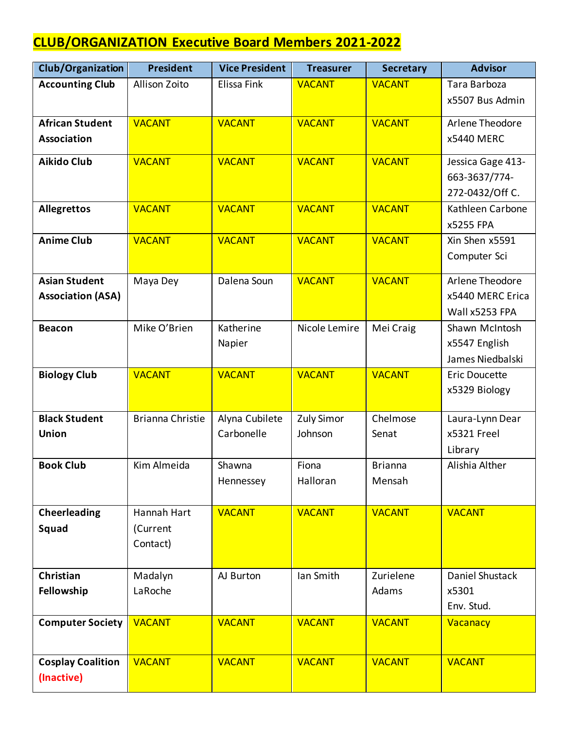## **CLUB/ORGANIZATION Executive Board Members 2021-2022**

| Club/Organization        | <b>President</b>        | <b>Vice President</b> | <b>Treasurer</b>  | <b>Secretary</b> | <b>Advisor</b>       |
|--------------------------|-------------------------|-----------------------|-------------------|------------------|----------------------|
| <b>Accounting Club</b>   | Allison Zoito           | Elissa Fink           | <b>VACANT</b>     | <b>VACANT</b>    | Tara Barboza         |
|                          |                         |                       |                   |                  | x5507 Bus Admin      |
| <b>African Student</b>   | <b>VACANT</b>           | <b>VACANT</b>         | <b>VACANT</b>     | <b>VACANT</b>    | Arlene Theodore      |
| <b>Association</b>       |                         |                       |                   |                  | x5440 MERC           |
| <b>Aikido Club</b>       | <b>VACANT</b>           | <b>VACANT</b>         | <b>VACANT</b>     | <b>VACANT</b>    | Jessica Gage 413-    |
|                          |                         |                       |                   |                  | 663-3637/774-        |
|                          |                         |                       |                   |                  | 272-0432/Off C.      |
| <b>Allegrettos</b>       | <b>VACANT</b>           | <b>VACANT</b>         | <b>VACANT</b>     | <b>VACANT</b>    | Kathleen Carbone     |
|                          |                         |                       |                   |                  | x5255 FPA            |
| <b>Anime Club</b>        | <b>VACANT</b>           | <b>VACANT</b>         | <b>VACANT</b>     | <b>VACANT</b>    | Xin Shen x5591       |
|                          |                         |                       |                   |                  | Computer Sci         |
| <b>Asian Student</b>     | Maya Dey                | Dalena Soun           | <b>VACANT</b>     | <b>VACANT</b>    | Arlene Theodore      |
| <b>Association (ASA)</b> |                         |                       |                   |                  | x5440 MERC Erica     |
|                          |                         |                       |                   |                  | Wall x5253 FPA       |
| <b>Beacon</b>            | Mike O'Brien            | Katherine             | Nicole Lemire     | Mei Craig        | Shawn McIntosh       |
|                          |                         | Napier                |                   |                  | x5547 English        |
|                          |                         |                       |                   |                  | James Niedbalski     |
| <b>Biology Club</b>      | <b>VACANT</b>           | <b>VACANT</b>         | <b>VACANT</b>     | <b>VACANT</b>    | <b>Eric Doucette</b> |
|                          |                         |                       |                   |                  | x5329 Biology        |
|                          |                         |                       |                   |                  |                      |
| <b>Black Student</b>     | <b>Brianna Christie</b> | Alyna Cubilete        | <b>Zuly Simor</b> | Chelmose         | Laura-Lynn Dear      |
| <b>Union</b>             |                         | Carbonelle            | Johnson           | Senat            | x5321 Freel          |
|                          |                         |                       |                   |                  | Library              |
| <b>Book Club</b>         | Kim Almeida             | Shawna                | Fiona             | <b>Brianna</b>   | Alishia Alther       |
|                          |                         | Hennessey             | Halloran          | Mensah           |                      |
| <b>Cheerleading</b>      | Hannah Hart             | <b>VACANT</b>         | <b>VACANT</b>     | <b>VACANT</b>    | <b>VACANT</b>        |
| Squad                    | (Current                |                       |                   |                  |                      |
|                          | Contact)                |                       |                   |                  |                      |
|                          |                         |                       |                   |                  |                      |
| Christian                | Madalyn                 | AJ Burton             | Ian Smith         | Zurielene        | Daniel Shustack      |
| Fellowship               | LaRoche                 |                       |                   | Adams            | x5301                |
|                          |                         |                       |                   |                  | Env. Stud.           |
| <b>Computer Society</b>  | <b>VACANT</b>           | <b>VACANT</b>         | <b>VACANT</b>     | <b>VACANT</b>    | Vacanacy             |
|                          |                         |                       |                   |                  |                      |
|                          | <b>VACANT</b>           |                       |                   | <b>VACANT</b>    |                      |
| <b>Cosplay Coalition</b> |                         | <b>VACANT</b>         | <b>VACANT</b>     |                  | <b>VACANT</b>        |
| (Inactive)               |                         |                       |                   |                  |                      |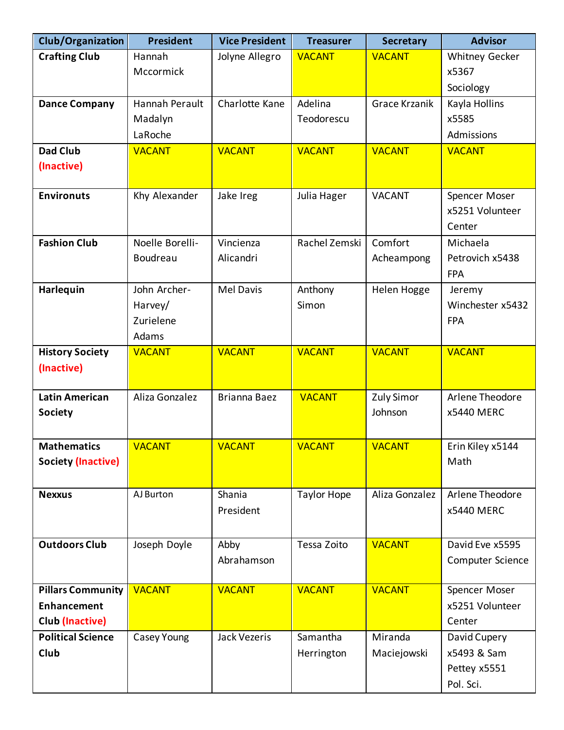| Club/Organization         | <b>President</b> | <b>Vice President</b> | <b>Treasurer</b>   | <b>Secretary</b>     | <b>Advisor</b>   |
|---------------------------|------------------|-----------------------|--------------------|----------------------|------------------|
| <b>Crafting Club</b>      | Hannah           | Jolyne Allegro        | <b>VACANT</b>      | <b>VACANT</b>        | Whitney Gecker   |
|                           | Mccormick        |                       |                    |                      | x5367            |
|                           |                  |                       |                    |                      | Sociology        |
| <b>Dance Company</b>      | Hannah Perault   | Charlotte Kane        | Adelina            | <b>Grace Krzanik</b> | Kayla Hollins    |
|                           | Madalyn          |                       | Teodorescu         |                      | x5585            |
|                           | LaRoche          |                       |                    |                      | Admissions       |
| <b>Dad Club</b>           | <b>VACANT</b>    | <b>VACANT</b>         | <b>VACANT</b>      | <b>VACANT</b>        | <b>VACANT</b>    |
| (Inactive)                |                  |                       |                    |                      |                  |
|                           |                  |                       |                    |                      |                  |
| <b>Environuts</b>         | Khy Alexander    | Jake Ireg             | Julia Hager        | <b>VACANT</b>        | Spencer Moser    |
|                           |                  |                       |                    |                      | x5251 Volunteer  |
|                           |                  |                       |                    |                      | Center           |
| <b>Fashion Club</b>       | Noelle Borelli-  | Vincienza             | Rachel Zemski      | Comfort              | Michaela         |
|                           | Boudreau         | Alicandri             |                    | Acheampong           | Petrovich x5438  |
|                           |                  |                       |                    |                      | <b>FPA</b>       |
| Harlequin                 | John Archer-     | <b>Mel Davis</b>      | Anthony            | Helen Hogge          | Jeremy           |
|                           | Harvey/          |                       | Simon              |                      | Winchester x5432 |
|                           | Zurielene        |                       |                    |                      | <b>FPA</b>       |
|                           | Adams            |                       |                    |                      |                  |
| <b>History Society</b>    | <b>VACANT</b>    | <b>VACANT</b>         | <b>VACANT</b>      | <b>VACANT</b>        | <b>VACANT</b>    |
| (Inactive)                |                  |                       |                    |                      |                  |
|                           |                  |                       |                    |                      |                  |
| <b>Latin American</b>     | Aliza Gonzalez   | <b>Brianna Baez</b>   | <b>VACANT</b>      | <b>Zuly Simor</b>    | Arlene Theodore  |
| <b>Society</b>            |                  |                       |                    | Johnson              | x5440 MERC       |
|                           |                  |                       |                    |                      |                  |
| <b>Mathematics</b>        | <b>VACANT</b>    | <b>VACANT</b>         | <b>VACANT</b>      | <b>VACANT</b>        | Erin Kiley x5144 |
| <b>Society (Inactive)</b> |                  |                       |                    |                      | Math             |
|                           |                  |                       |                    |                      |                  |
| <b>Nexxus</b>             | AJ Burton        | Shania                | <b>Taylor Hope</b> | Aliza Gonzalez       | Arlene Theodore  |
|                           |                  | President             |                    |                      | x5440 MERC       |
|                           |                  |                       |                    |                      |                  |
| <b>Outdoors Club</b>      | Joseph Doyle     | Abby                  | Tessa Zoito        | <b>VACANT</b>        | David Eve x5595  |
|                           |                  | Abrahamson            |                    |                      | Computer Science |
|                           |                  |                       |                    |                      |                  |
| <b>Pillars Community</b>  | <b>VACANT</b>    | <b>VACANT</b>         | <b>VACANT</b>      | <b>VACANT</b>        | Spencer Moser    |
| Enhancement               |                  |                       |                    |                      | x5251 Volunteer  |
| Club (Inactive)           |                  |                       |                    |                      | Center           |
| <b>Political Science</b>  | Casey Young      | <b>Jack Vezeris</b>   | Samantha           | Miranda              | David Cupery     |
| Club                      |                  |                       | Herrington         | Maciejowski          | x5493 & Sam      |
|                           |                  |                       |                    |                      | Pettey x5551     |
|                           |                  |                       |                    |                      | Pol. Sci.        |